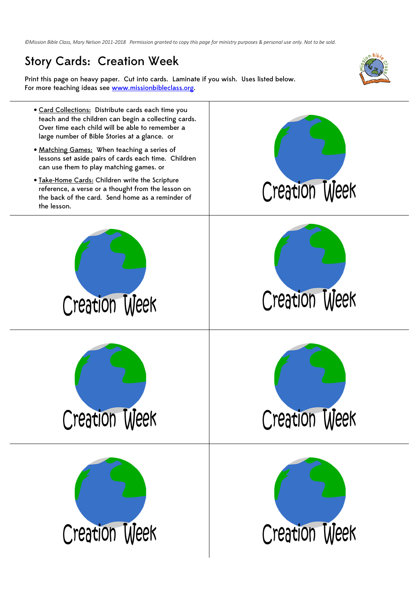*©Mission Bible Class, Mary Nelson 2011-2018 Permission granted to copy this page for ministry purposes & personal use only. Not to be sold.* 

## Story Cards: Creation Week

Print this page on heavy paper. Cut into cards. Laminate if you wish. Uses listed below. For more teaching ideas see www.missionbibleclass.org.



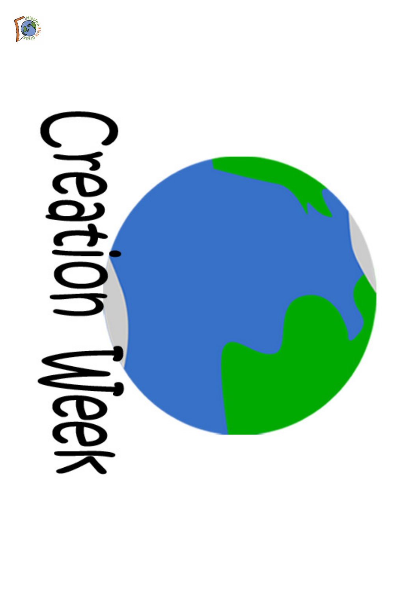

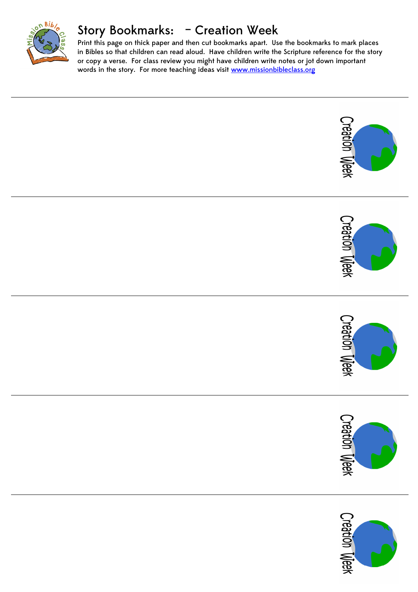

## Story Bookmarks: – Creation Week

Print this page on thick paper and then cut bookmarks apart. Use the bookmarks to mark places in Bibles so that children can read aloud. Have children write the Scripture reference for the story or copy a verse. For class review you might have children write notes or jot down important words in the story. For more teaching ideas visit www.missionbibleclass.org